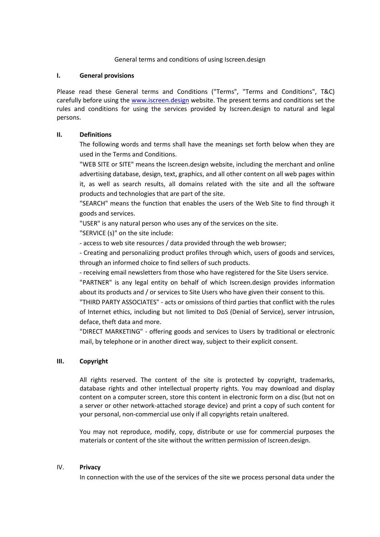### General terms and conditions of using Iscreen.design

#### **I. General provisions**

Please read these General terms and Conditions ("Terms", "Terms and Conditions", T&C) carefully before using the [www.iscreen.design](http://www.iscreen.design/) website. The present terms and conditions set the rules and conditions for using the services provided by Iscreen.design to natural and legal persons.

# **II. Definitions**

The following words and terms shall have the meanings set forth below when they are used in the Terms and Conditions.

"WEB SITE or SITE" means the Iscreen.design website, including the merchant and online advertising database, design, text, graphics, and all other content on all web pages within it, as well as search results, all domains related with the site and all the software products and technologies that are part of the site.

"SEARCH" means the function that enables the users of the Web Site to find through it goods and services.

"USER" is any natural person who uses any of the services on the site.

"SERVICE (s)" on the site include:

- access to web site resources / data provided through the web browser;

- Creating and personalizing product profiles through which, users of goods and services, through an informed choice to find sellers of such products.

- receiving email newsletters from those who have registered for the Site Users service.

"PARTNER" is any legal entity on behalf of which Iscreen.design provides information about its products and / or services to Site Users who have given their consent to this.

"THIRD PARTY ASSOCIATES" - acts or omissions of third parties that conflict with the rules of Internet ethics, including but not limited to DoS (Denial of Service), server intrusion, deface, theft data and more.

"DIRECT MARKETING" - offering goods and services to Users by traditional or electronic mail, by telephone or in another direct way, subject to their explicit consent.

# **III. Copyright**

All rights reserved. The content of the site is protected by copyright, trademarks, database rights and other intellectual property rights. You may download and display content on a computer screen, store this content in electronic form on a disc (but not on a server or other network-attached storage device) and print a copy of such content for your personal, non-commercial use only if all copyrights retain unaltered.

You may not reproduce, modify, copy, distribute or use for commercial purposes the materials or content of the site without the written permission of Iscreen.design.

### IV. **Privacy**

In connection with the use of the services of the site we process personal data under the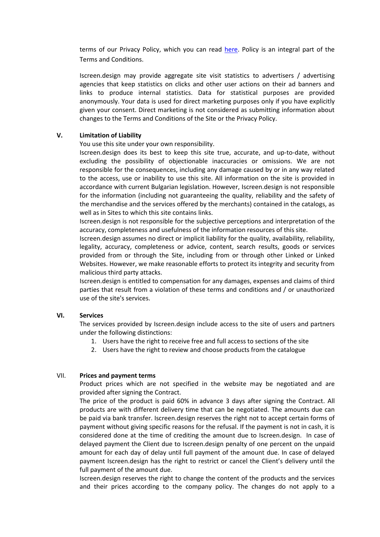terms of our Privacy Policy, which you can read [here.](https://static.wixstatic.com/ugd/532373_57e736b4a14f4065a60202f6a71ee5c4.pdf) Policy is an integral part of the Terms and Conditions.

Iscreen.design may provide aggregate site visit statistics to advertisers / advertising agencies that keep statistics on clicks and other user actions on their ad banners and links to produce internal statistics. Data for statistical purposes are provided anonymously. Your data is used for direct marketing purposes only if you have explicitly given your consent. Direct marketing is not considered as submitting information about changes to the Terms and Conditions of the Site or the Privacy Policy.

# **V. Limitation of Liability**

You use this site under your own responsibility.

Iscreen.design does its best to keep this site true, accurate, and up-to-date, without excluding the possibility of objectionable inaccuracies or omissions. We are not responsible for the consequences, including any damage caused by or in any way related to the access, use or inability to use this site. All information on the site is provided in accordance with current Bulgarian legislation. However, Iscreen.design is not responsible for the information (including not guaranteeing the quality, reliability and the safety of the merchandise and the services offered by the merchants) contained in the catalogs, as well as in Sites to which this site contains links.

Iscreen.design is not responsible for the subjective perceptions and interpretation of the accuracy, completeness and usefulness of the information resources of this site.

Iscreen.design assumes no direct or implicit liability for the quality, availability, reliability, legality, accuracy, completeness or advice, content, search results, goods or services provided from or through the Site, including from or through other Linked or Linked Websites. However, we make reasonable efforts to protect its integrity and security from malicious third party attacks.

Iscreen.design is entitled to compensation for any damages, expenses and claims of third parties that result from a violation of these terms and conditions and / or unauthorized use of the site's services.

### **VI. Services**

The services provided by Iscreen.design include access to the site of users and partners under the following distinctions:

- 1. Users have the right to receive free and full access to sections of the site
- 2. Users have the right to review and choose products from the catalogue

#### VII. **Prices and payment terms**

Product prices which are not specified in the website may be negotiated and are provided after signing the Contract.

The price of the product is paid 60% in advance 3 days after signing the Contract. All products are with different delivery time that can be negotiated. The amounts due can be paid via bank transfer. Iscreen.design reserves the right not to accept certain forms of payment without giving specific reasons for the refusal. If the payment is not in cash, it is considered done at the time of crediting the amount due to Iscreen.design. In case of delayed payment the Client due to Iscreen.design penalty of one percent on the unpaid amount for each day of delay until full payment of the amount due. In case of delayed payment Iscreen.design has the right to restrict or cancel the Client's delivery until the full payment of the amount due.

Iscreen.design reserves the right to change the content of the products and the services and their prices according to the company policy. The changes do not apply to a